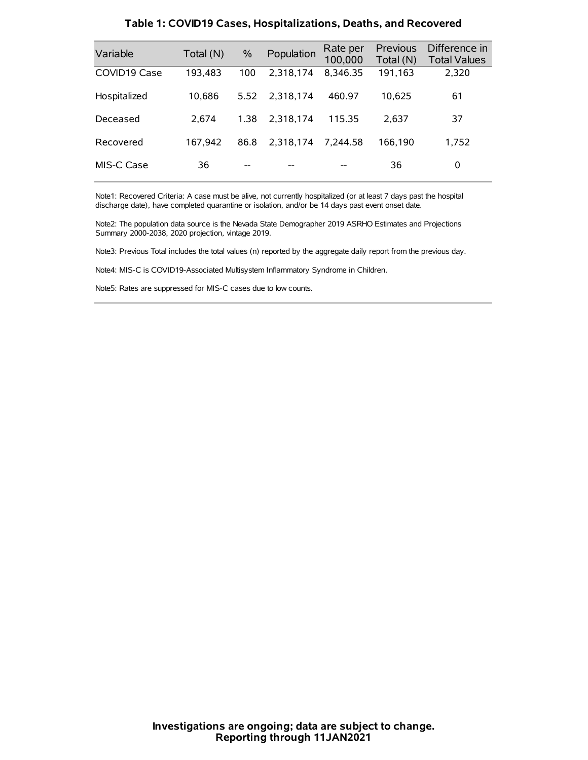| Variable     | Total (N) | $\%$ | Population | Rate per<br>100,000 | Previous<br>Total (N) | Difference in<br><b>Total Values</b> |
|--------------|-----------|------|------------|---------------------|-----------------------|--------------------------------------|
| COVID19 Case | 193.483   | 100  | 2.318.174  | 8,346.35            | 191,163               | 2.320                                |
| Hospitalized | 10.686    | 5.52 | 2.318.174  | 460.97              | 10.625                | 61                                   |
| Deceased     | 2.674     | 1.38 | 2.318.174  | 115.35              | 2.637                 | 37                                   |
| Recovered    | 167.942   | 86.8 | 2.318.174  | 7.244.58            | 166.190               | 1,752                                |
| MIS-C Case   | 36        | --   |            |                     | 36                    | 0                                    |

#### **Table 1: COVID19 Cases, Hospitalizations, Deaths, and Recovered**

Note1: Recovered Criteria: A case must be alive, not currently hospitalized (or at least 7 days past the hospital discharge date), have completed quarantine or isolation, and/or be 14 days past event onset date.

Note2: The population data source is the Nevada State Demographer 2019 ASRHO Estimates and Projections Summary 2000-2038, 2020 projection, vintage 2019.

Note3: Previous Total includes the total values (n) reported by the aggregate daily report from the previous day.

Note4: MIS-C is COVID19-Associated Multisystem Inflammatory Syndrome in Children.

Note5: Rates are suppressed for MIS-C cases due to low counts.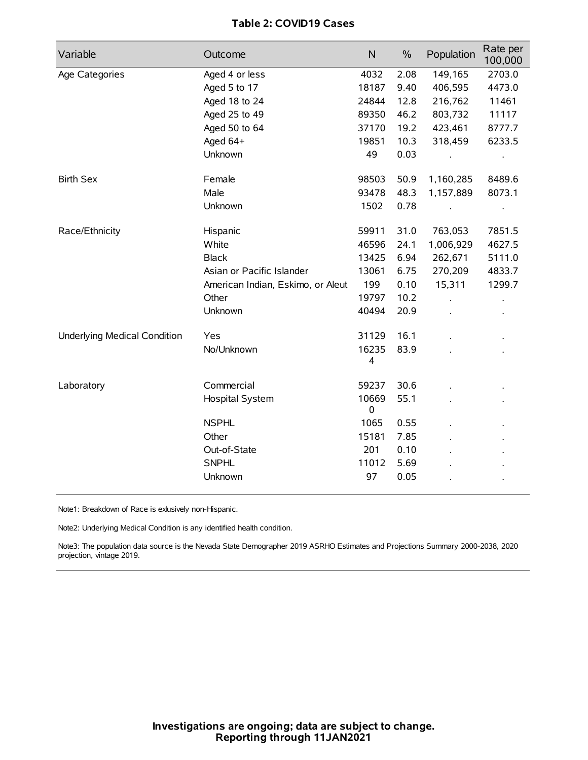## **Table 2: COVID19 Cases**

| Variable                     | Outcome                           | N          | $\%$ | Population | Rate per<br>100,000 |
|------------------------------|-----------------------------------|------------|------|------------|---------------------|
| Age Categories               | Aged 4 or less                    | 4032       | 2.08 | 149,165    | 2703.0              |
|                              | Aged 5 to 17                      | 18187      | 9.40 | 406,595    | 4473.0              |
|                              | Aged 18 to 24                     | 24844      | 12.8 | 216,762    | 11461               |
|                              | Aged 25 to 49                     | 89350      | 46.2 | 803,732    | 11117               |
|                              | Aged 50 to 64                     | 37170      | 19.2 | 423,461    | 8777.7              |
|                              | Aged 64+                          | 19851      | 10.3 | 318,459    | 6233.5              |
|                              | Unknown                           | 49         | 0.03 |            | $\bullet$           |
| <b>Birth Sex</b>             | Female                            | 98503      | 50.9 | 1,160,285  | 8489.6              |
|                              | Male                              | 93478      | 48.3 | 1,157,889  | 8073.1              |
|                              | Unknown                           | 1502       | 0.78 |            | $\bullet$           |
| Race/Ethnicity               | Hispanic                          | 59911      | 31.0 | 763,053    | 7851.5              |
|                              | White                             | 46596      | 24.1 | 1,006,929  | 4627.5              |
|                              | <b>Black</b>                      | 13425      | 6.94 | 262,671    | 5111.0              |
|                              | Asian or Pacific Islander         | 13061      | 6.75 | 270,209    | 4833.7              |
|                              | American Indian, Eskimo, or Aleut | 199        | 0.10 | 15,311     | 1299.7              |
|                              | Other                             | 19797      | 10.2 |            |                     |
|                              | Unknown                           | 40494      | 20.9 |            |                     |
| Underlying Medical Condition | Yes                               | 31129      | 16.1 |            |                     |
|                              | No/Unknown                        | 16235<br>4 | 83.9 |            |                     |
| Laboratory                   | Commercial                        | 59237      | 30.6 |            |                     |
|                              | Hospital System                   | 10669<br>0 | 55.1 |            |                     |
|                              | <b>NSPHL</b>                      | 1065       | 0.55 |            |                     |
|                              | Other                             | 15181      | 7.85 |            |                     |
|                              | Out-of-State                      | 201        | 0.10 |            |                     |
|                              | <b>SNPHL</b>                      | 11012      | 5.69 |            |                     |
|                              | Unknown                           | 97         | 0.05 |            |                     |

Note1: Breakdown of Race is exlusively non-Hispanic.

Note2: Underlying Medical Condition is any identified health condition.

Note3: The population data source is the Nevada State Demographer 2019 ASRHO Estimates and Projections Summary 2000-2038, 2020 projection, vintage 2019.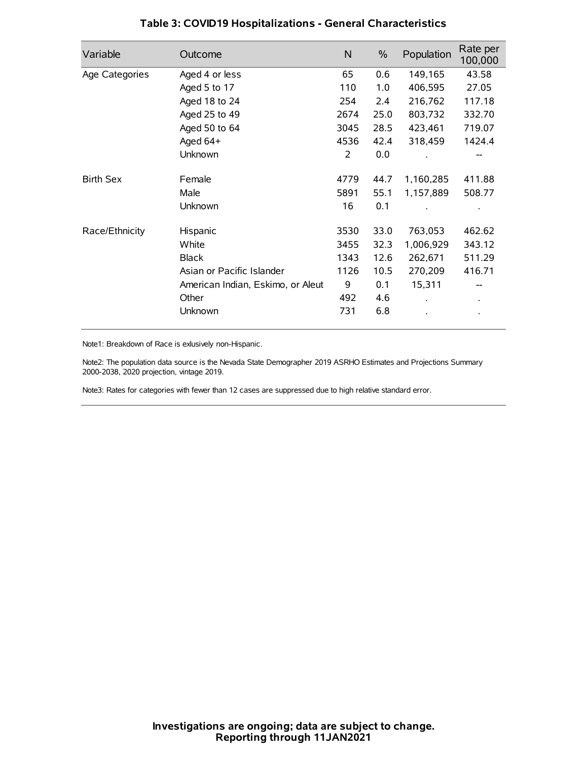| Variable         | Outcome                           | $\mathsf{N}$ | $\%$ | Population | Rate per<br>100,000 |
|------------------|-----------------------------------|--------------|------|------------|---------------------|
| Age Categories   | Aged 4 or less                    | 65           | 0.6  | 149,165    | 43.58               |
|                  | Aged 5 to 17                      | 110          | 1.0  | 406,595    | 27.05               |
|                  | Aged 18 to 24                     | 254          | 2.4  | 216,762    | 117.18              |
|                  | Aged 25 to 49                     | 2674         | 25.0 | 803,732    | 332.70              |
|                  | Aged 50 to 64                     | 3045         | 28.5 | 423,461    | 719.07              |
|                  | Aged 64+                          | 4536         | 42.4 | 318,459    | 1424.4              |
|                  | Unknown                           | 2            | 0.0  |            |                     |
| <b>Birth Sex</b> | Female                            | 4779         | 44.7 | 1,160,285  | 411.88              |
|                  | Male                              | 5891         | 55.1 | 1,157,889  | 508.77              |
|                  | Unknown                           | 16           | 0.1  |            |                     |
| Race/Ethnicity   | Hispanic                          | 3530         | 33.0 | 763,053    | 462.62              |
|                  | White                             | 3455         | 32.3 | 1,006,929  | 343.12              |
|                  | <b>Black</b>                      | 1343         | 12.6 | 262,671    | 511.29              |
|                  | Asian or Pacific Islander         | 1126         | 10.5 | 270,209    | 416.71              |
|                  | American Indian, Eskimo, or Aleut | 9            | 0.1  | 15,311     |                     |
|                  | Other                             | 492          | 4.6  |            |                     |
|                  | Unknown                           | 731          | 6.8  |            |                     |

## **Table 3: COVID19 Hospitalizations - General Characteristics**

Note1: Breakdown of Race is exlusively non-Hispanic.

Note2: The population data source is the Nevada State Demographer 2019 ASRHO Estimates and Projections Summary 2000-2038, 2020 projection, vintage 2019.

Note3: Rates for categories with fewer than 12 cases are suppressed due to high relative standard error.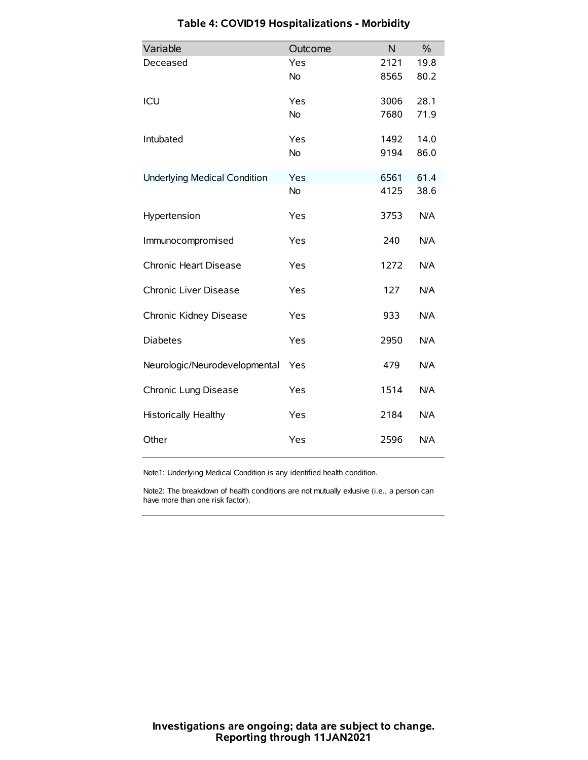| Variable                            | Outcome   | N    | $\frac{0}{0}$ |
|-------------------------------------|-----------|------|---------------|
| Deceased                            | Yes       | 2121 | 19.8          |
|                                     | No        | 8565 | 80.2          |
| ICU                                 | Yes       | 3006 | 28.1          |
|                                     | <b>No</b> | 7680 | 71.9          |
| Intubated                           | Yes       | 1492 | 14.0          |
|                                     | <b>No</b> | 9194 | 86.0          |
| <b>Underlying Medical Condition</b> | Yes       | 6561 | 61.4          |
|                                     | No        | 4125 | 38.6          |
| Hypertension                        | Yes       | 3753 | N/A           |
| Immunocompromised                   | Yes       | 240  | N/A           |
| Chronic Heart Disease               | Yes       | 1272 | N/A           |
| Chronic Liver Disease               | Yes       | 127  | N/A           |
| Chronic Kidney Disease              | Yes       | 933  | N/A           |
| <b>Diabetes</b>                     | Yes       | 2950 | N/A           |
| Neurologic/Neurodevelopmental       | Yes       | 479  | N/A           |
| Chronic Lung Disease                | Yes       | 1514 | N/A           |
| <b>Historically Healthy</b>         | Yes       | 2184 | N/A           |
| Other                               | Yes       | 2596 | N/A           |

# **Table 4: COVID19 Hospitalizations - Morbidity**

Note1: Underlying Medical Condition is any identified health condition.

Note2: The breakdown of health conditions are not mutually exlusive (i.e., a person can have more than one risk factor).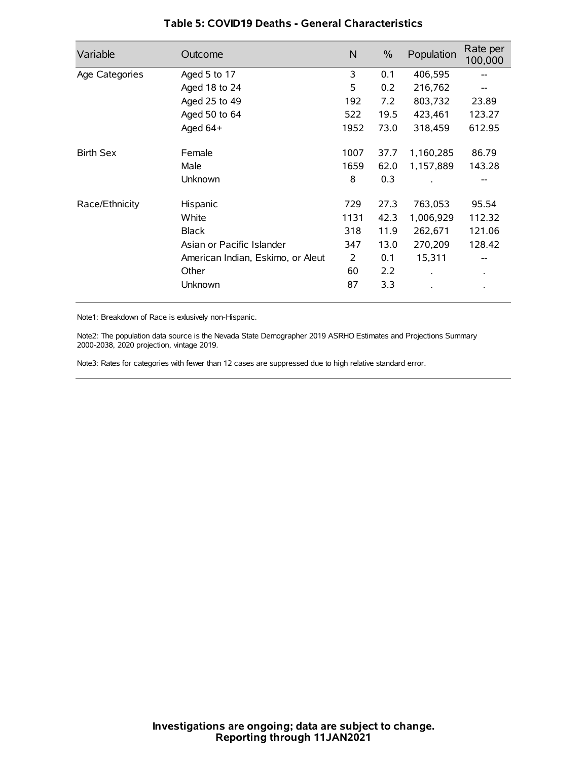| Variable         | Outcome                           | N    | $\%$ | Population | Rate per<br>100,000 |
|------------------|-----------------------------------|------|------|------------|---------------------|
| Age Categories   | Aged 5 to 17                      | 3    | 0.1  | 406,595    | --                  |
|                  | Aged 18 to 24                     | 5    | 0.2  | 216,762    |                     |
|                  | Aged 25 to 49                     | 192  | 7.2  | 803,732    | 23.89               |
|                  | Aged 50 to 64                     | 522  | 19.5 | 423,461    | 123.27              |
|                  | Aged $64+$                        | 1952 | 73.0 | 318,459    | 612.95              |
| <b>Birth Sex</b> | Female                            | 1007 | 37.7 | 1,160,285  | 86.79               |
|                  | Male                              | 1659 | 62.0 | 1,157,889  | 143.28              |
|                  | Unknown                           | 8    | 0.3  |            |                     |
| Race/Ethnicity   | Hispanic                          | 729  | 27.3 | 763,053    | 95.54               |
|                  | White                             | 1131 | 42.3 | 1,006,929  | 112.32              |
|                  | <b>Black</b>                      | 318  | 11.9 | 262,671    | 121.06              |
|                  | Asian or Pacific Islander         | 347  | 13.0 | 270,209    | 128.42              |
|                  | American Indian, Eskimo, or Aleut | 2    | 0.1  | 15,311     |                     |
|                  | Other                             | 60   | 2.2  |            | $\bullet$           |
|                  | Unknown                           | 87   | 3.3  |            |                     |

### **Table 5: COVID19 Deaths - General Characteristics**

Note1: Breakdown of Race is exlusively non-Hispanic.

Note2: The population data source is the Nevada State Demographer 2019 ASRHO Estimates and Projections Summary 2000-2038, 2020 projection, vintage 2019.

Note3: Rates for categories with fewer than 12 cases are suppressed due to high relative standard error.